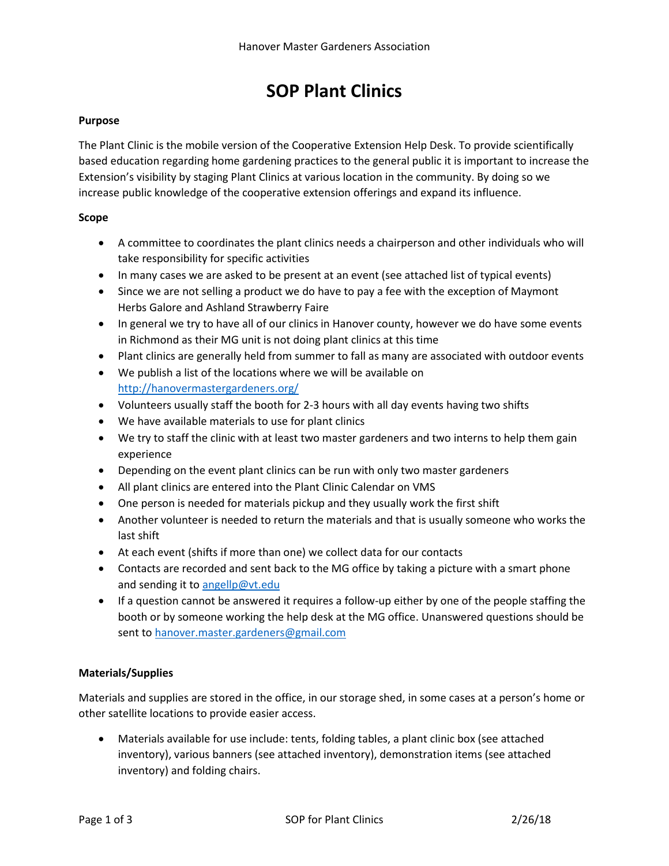# **SOP Plant Clinics**

## **Purpose**

The Plant Clinic is the mobile version of the Cooperative Extension Help Desk. To provide scientifically based education regarding home gardening practices to the general public it is important to increase the Extension's visibility by staging Plant Clinics at various location in the community. By doing so we increase public knowledge of the cooperative extension offerings and expand its influence.

### **Scope**

- A committee to coordinates the plant clinics needs a chairperson and other individuals who will take responsibility for specific activities
- In many cases we are asked to be present at an event (see attached list of typical events)
- Since we are not selling a product we do have to pay a fee with the exception of Maymont Herbs Galore and Ashland Strawberry Faire
- In general we try to have all of our clinics in Hanover county, however we do have some events in Richmond as their MG unit is not doing plant clinics at this time
- Plant clinics are generally held from summer to fall as many are associated with outdoor events
- We publish a list of the locations where we will be available on <http://hanovermastergardeners.org/>
- Volunteers usually staff the booth for 2-3 hours with all day events having two shifts
- We have available materials to use for plant clinics
- We try to staff the clinic with at least two master gardeners and two interns to help them gain experience
- Depending on the event plant clinics can be run with only two master gardeners
- All plant clinics are entered into the Plant Clinic Calendar on VMS
- One person is needed for materials pickup and they usually work the first shift
- Another volunteer is needed to return the materials and that is usually someone who works the last shift
- At each event (shifts if more than one) we collect data for our contacts
- Contacts are recorded and sent back to the MG office by taking a picture with a smart phone and sending it to [angellp@vt.edu](mailto:angellp@vt.edu)
- If a question cannot be answered it requires a follow-up either by one of the people staffing the booth or by someone working the help desk at the MG office. Unanswered questions should be sent t[o hanover.master.gardeners@gmail.com](mailto:hanover.master.gardeners@gmail.com)

# **Materials/Supplies**

Materials and supplies are stored in the office, in our storage shed, in some cases at a person's home or other satellite locations to provide easier access.

 Materials available for use include: tents, folding tables, a plant clinic box (see attached inventory), various banners (see attached inventory), demonstration items (see attached inventory) and folding chairs.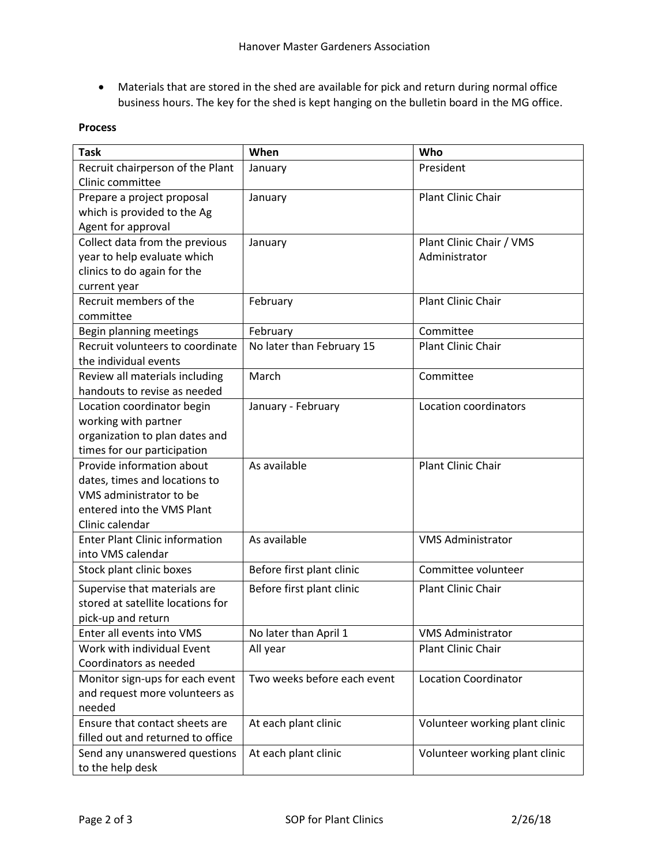Materials that are stored in the shed are available for pick and return during normal office business hours. The key for the shed is kept hanging on the bulletin board in the MG office.

## **Process**

| <b>Task</b>                                              | When                        | Who                            |
|----------------------------------------------------------|-----------------------------|--------------------------------|
| Recruit chairperson of the Plant                         | January                     | President                      |
| Clinic committee                                         |                             |                                |
| Prepare a project proposal                               | January                     | Plant Clinic Chair             |
| which is provided to the Ag                              |                             |                                |
| Agent for approval                                       |                             |                                |
| Collect data from the previous                           | January                     | Plant Clinic Chair / VMS       |
| year to help evaluate which                              |                             | Administrator                  |
| clinics to do again for the                              |                             |                                |
| current year                                             |                             | <b>Plant Clinic Chair</b>      |
| Recruit members of the                                   | February                    |                                |
| committee                                                |                             |                                |
| Begin planning meetings                                  | February                    | Committee                      |
| Recruit volunteers to coordinate                         | No later than February 15   | Plant Clinic Chair             |
| the individual events                                    |                             |                                |
| Review all materials including                           | March                       | Committee                      |
| handouts to revise as needed                             |                             |                                |
| Location coordinator begin                               | January - February          | Location coordinators          |
| working with partner                                     |                             |                                |
| organization to plan dates and                           |                             |                                |
| times for our participation                              |                             |                                |
| Provide information about                                | As available                | Plant Clinic Chair             |
| dates, times and locations to                            |                             |                                |
| VMS administrator to be                                  |                             |                                |
| entered into the VMS Plant                               |                             |                                |
| Clinic calendar<br><b>Enter Plant Clinic information</b> | As available                |                                |
| into VMS calendar                                        |                             | <b>VMS Administrator</b>       |
|                                                          | Before first plant clinic   | Committee volunteer            |
| Stock plant clinic boxes                                 |                             |                                |
| Supervise that materials are                             | Before first plant clinic   | Plant Clinic Chair             |
| stored at satellite locations for                        |                             |                                |
| pick-up and return                                       |                             |                                |
| Enter all events into VMS                                | No later than April 1       | <b>VMS Administrator</b>       |
| Work with individual Event                               | All year                    | Plant Clinic Chair             |
| Coordinators as needed                                   |                             |                                |
| Monitor sign-ups for each event                          | Two weeks before each event | <b>Location Coordinator</b>    |
| and request more volunteers as                           |                             |                                |
| needed                                                   |                             |                                |
| Ensure that contact sheets are                           | At each plant clinic        | Volunteer working plant clinic |
| filled out and returned to office                        |                             |                                |
| Send any unanswered questions                            | At each plant clinic        | Volunteer working plant clinic |
| to the help desk                                         |                             |                                |